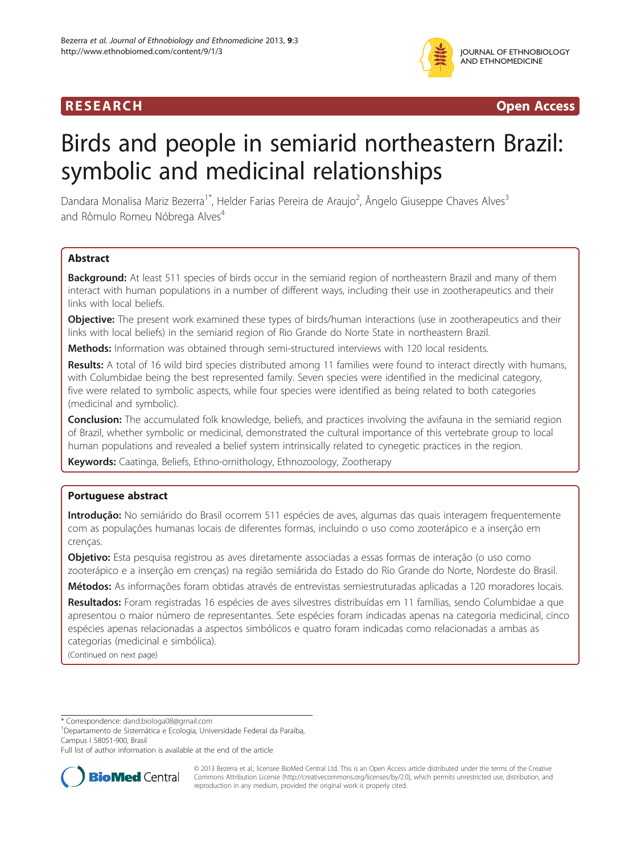

# R E S EAR CH Open Access

# Birds and people in semiarid northeastern Brazil: symbolic and medicinal relationships

Dandara Monalisa Mariz Bezerra<sup>1\*</sup>, Helder Farias Pereira de Araujo<sup>2</sup>, Ângelo Giuseppe Chaves Alves<sup>3</sup> and Rômulo Romeu Nóbrega Alves<sup>4</sup>

# Abstract

**Background:** At least 511 species of birds occur in the semiarid region of northeastern Brazil and many of them interact with human populations in a number of different ways, including their use in zootherapeutics and their links with local beliefs.

Objective: The present work examined these types of birds/human interactions (use in zootherapeutics and their links with local beliefs) in the semiarid region of Rio Grande do Norte State in northeastern Brazil.

Methods: Information was obtained through semi-structured interviews with 120 local residents.

Results: A total of 16 wild bird species distributed among 11 families were found to interact directly with humans, with Columbidae being the best represented family. Seven species were identified in the medicinal category, five were related to symbolic aspects, while four species were identified as being related to both categories (medicinal and symbolic).

**Conclusion:** The accumulated folk knowledge, beliefs, and practices involving the avifauna in the semiarid region of Brazil, whether symbolic or medicinal, demonstrated the cultural importance of this vertebrate group to local human populations and revealed a belief system intrinsically related to cynegetic practices in the region.

Keywords: Caatinga, Beliefs, Ethno-ornithology, Ethnozoology, Zootherapy

# Portuguese abstract

Introdução: No semiárido do Brasil ocorrem 511 espécies de aves, algumas das quais interagem frequentemente com as populações humanas locais de diferentes formas, incluindo o uso como zooterápico e a inserção em crenças.

Objetivo: Esta pesquisa registrou as aves diretamente associadas a essas formas de interação (o uso como zooterápico e a inserção em crenças) na região semiárida do Estado do Rio Grande do Norte, Nordeste do Brasil.

Métodos: As informações foram obtidas através de entrevistas semiestruturadas aplicadas a 120 moradores locais.

Resultados: Foram registradas 16 espécies de aves silvestres distribuídas em 11 famílias, sendo Columbidae a que apresentou o maior número de representantes. Sete espécies foram indicadas apenas na categoria medicinal, cinco espécies apenas relacionadas a aspectos simbólicos e quatro foram indicadas como relacionadas a ambas as categorias (medicinal e simbólica).

(Continued on next page)

\* Correspondence: [dand.biologa08@gmail.com](mailto:dand.biologa08@gmail.com) <sup>1</sup>

<sup>1</sup>Departamento de Sistemática e Ecologia, Universidade Federal da Paraíba, Campus I 58051-900, Brasil

Full list of author information is available at the end of the article



© 2013 Bezerra et al.; licensee BioMed Central Ltd. This is an Open Access article distributed under the terms of the Creative Commons Attribution License [\(http://creativecommons.org/licenses/by/2.0\)](http://creativecommons.org/licenses/by/2.0), which permits unrestricted use, distribution, and reproduction in any medium, provided the original work is properly cited.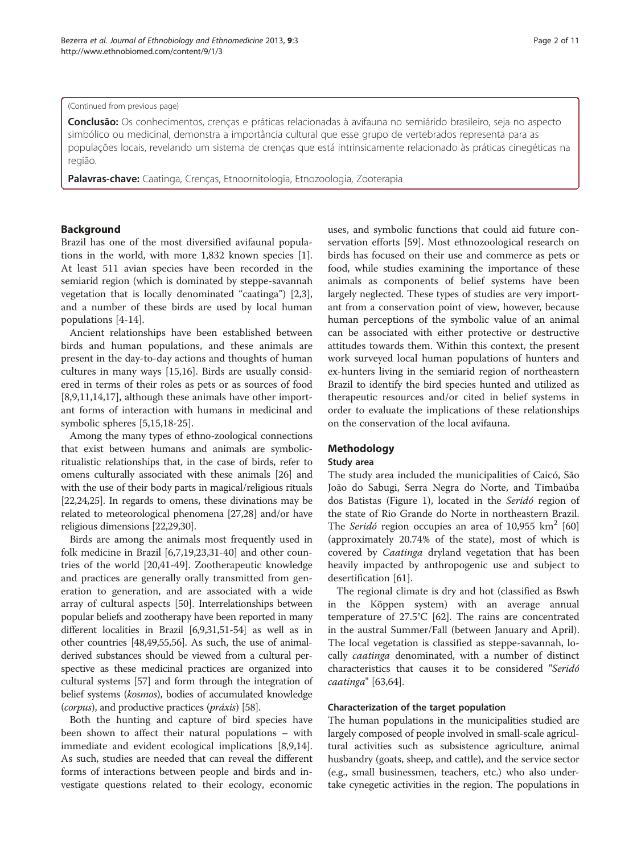#### (Continued from previous page)

Conclusão: Os conhecimentos, crenças e práticas relacionadas à avifauna no semiárido brasileiro, seja no aspecto simbólico ou medicinal, demonstra a importância cultural que esse grupo de vertebrados representa para as populações locais, revelando um sistema de crenças que está intrinsicamente relacionado às práticas cinegéticas na região.

Palavras-chave: Caatinga, Crenças, Etnoornitologia, Etnozoologia, Zooterapia

# Background

Brazil has one of the most diversified avifaunal populations in the world, with more 1,832 known species [\[1](#page-8-0)]. At least 511 avian species have been recorded in the semiarid region (which is dominated by steppe-savannah vegetation that is locally denominated "caatinga") [\[2,3](#page-8-0)], and a number of these birds are used by local human populations [[4-](#page-8-0)[14\]](#page-9-0).

Ancient relationships have been established between birds and human populations, and these animals are present in the day-to-day actions and thoughts of human cultures in many ways [[15,16\]](#page-9-0). Birds are usually considered in terms of their roles as pets or as sources of food [[8,9,11,14,17\]](#page-9-0), although these animals have other important forms of interaction with humans in medicinal and symbolic spheres [\[5](#page-8-0)[,15,18](#page-9-0)-[25\]](#page-9-0).

Among the many types of ethno-zoological connections that exist between humans and animals are symbolicritualistic relationships that, in the case of birds, refer to omens culturally associated with these animals [[26](#page-9-0)] and with the use of their body parts in magical/religious rituals [[22,24,25\]](#page-9-0). In regards to omens, these divinations may be related to meteorological phenomena [\[27,28\]](#page-9-0) and/or have religious dimensions [\[22,29,30](#page-9-0)].

Birds are among the animals most frequently used in folk medicine in Brazil [\[6,7,19,23,31](#page-9-0)-[40](#page-9-0)] and other countries of the world [[20](#page-9-0),[41-49\]](#page-9-0). Zootherapeutic knowledge and practices are generally orally transmitted from generation to generation, and are associated with a wide array of cultural aspects [[50](#page-9-0)]. Interrelationships between popular beliefs and zootherapy have been reported in many different localities in Brazil [[6,9,31,51](#page-9-0)-[54](#page-10-0)] as well as in other countries [[48,49,](#page-9-0)[55,56\]](#page-10-0). As such, the use of animalderived substances should be viewed from a cultural perspective as these medicinal practices are organized into cultural systems [[57](#page-10-0)] and form through the integration of belief systems (kosmos), bodies of accumulated knowledge (corpus), and productive practices (práxis) [[58](#page-10-0)].

Both the hunting and capture of bird species have been shown to affect their natural populations – with immediate and evident ecological implications [\[8,9,14](#page-9-0)]. As such, studies are needed that can reveal the different forms of interactions between people and birds and investigate questions related to their ecology, economic

uses, and symbolic functions that could aid future conservation efforts [[59](#page-10-0)]. Most ethnozoological research on birds has focused on their use and commerce as pets or food, while studies examining the importance of these animals as components of belief systems have been largely neglected. These types of studies are very important from a conservation point of view, however, because human perceptions of the symbolic value of an animal can be associated with either protective or destructive attitudes towards them. Within this context, the present work surveyed local human populations of hunters and ex-hunters living in the semiarid region of northeastern Brazil to identify the bird species hunted and utilized as therapeutic resources and/or cited in belief systems in order to evaluate the implications of these relationships on the conservation of the local avifauna.

# Methodology

#### Study area

The study area included the municipalities of Caicó, São João do Sabugi, Serra Negra do Norte, and Timbaúba dos Batistas (Figure [1](#page-2-0)), located in the Seridó region of the state of Rio Grande do Norte in northeastern Brazil. The Seridó region occupies an area of 10,955 km<sup>2</sup> [[60](#page-10-0)] (approximately 20.74% of the state), most of which is covered by Caatinga dryland vegetation that has been heavily impacted by anthropogenic use and subject to desertification [[61](#page-10-0)].

The regional climate is dry and hot (classified as Bswh in the Köppen system) with an average annual temperature of 27.5°C [[62\]](#page-10-0). The rains are concentrated in the austral Summer/Fall (between January and April). The local vegetation is classified as steppe-savannah, locally caatinga denominated, with a number of distinct characteristics that causes it to be considered "Seridó caatinga" [[63](#page-10-0),[64](#page-10-0)].

#### Characterization of the target population

The human populations in the municipalities studied are largely composed of people involved in small-scale agricultural activities such as subsistence agriculture, animal husbandry (goats, sheep, and cattle), and the service sector (e.g., small businessmen, teachers, etc.) who also undertake cynegetic activities in the region. The populations in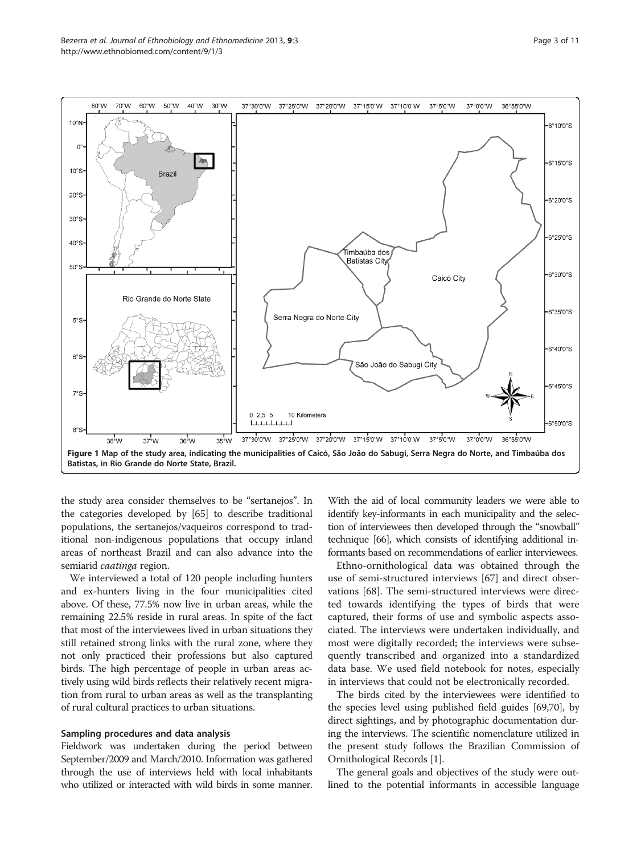<span id="page-2-0"></span>

the study area consider themselves to be "sertanejos". In the categories developed by [\[65\]](#page-10-0) to describe traditional populations, the sertanejos/vaqueiros correspond to traditional non-indigenous populations that occupy inland areas of northeast Brazil and can also advance into the semiarid *caatinga* region.

We interviewed a total of 120 people including hunters and ex-hunters living in the four municipalities cited above. Of these, 77.5% now live in urban areas, while the remaining 22.5% reside in rural areas. In spite of the fact that most of the interviewees lived in urban situations they still retained strong links with the rural zone, where they not only practiced their professions but also captured birds. The high percentage of people in urban areas actively using wild birds reflects their relatively recent migration from rural to urban areas as well as the transplanting of rural cultural practices to urban situations.

#### Sampling procedures and data analysis

Fieldwork was undertaken during the period between September/2009 and March/2010. Information was gathered through the use of interviews held with local inhabitants who utilized or interacted with wild birds in some manner. With the aid of local community leaders we were able to identify key-informants in each municipality and the selection of interviewees then developed through the "snowball" technique [[66](#page-10-0)], which consists of identifying additional informants based on recommendations of earlier interviewees.

Ethno-ornithological data was obtained through the use of semi-structured interviews [\[67](#page-10-0)] and direct observations [\[68](#page-10-0)]. The semi-structured interviews were directed towards identifying the types of birds that were captured, their forms of use and symbolic aspects associated. The interviews were undertaken individually, and most were digitally recorded; the interviews were subsequently transcribed and organized into a standardized data base. We used field notebook for notes, especially in interviews that could not be electronically recorded.

The birds cited by the interviewees were identified to the species level using published field guides [[69,70\]](#page-10-0), by direct sightings, and by photographic documentation during the interviews. The scientific nomenclature utilized in the present study follows the Brazilian Commission of Ornithological Records [\[1\]](#page-8-0).

The general goals and objectives of the study were outlined to the potential informants in accessible language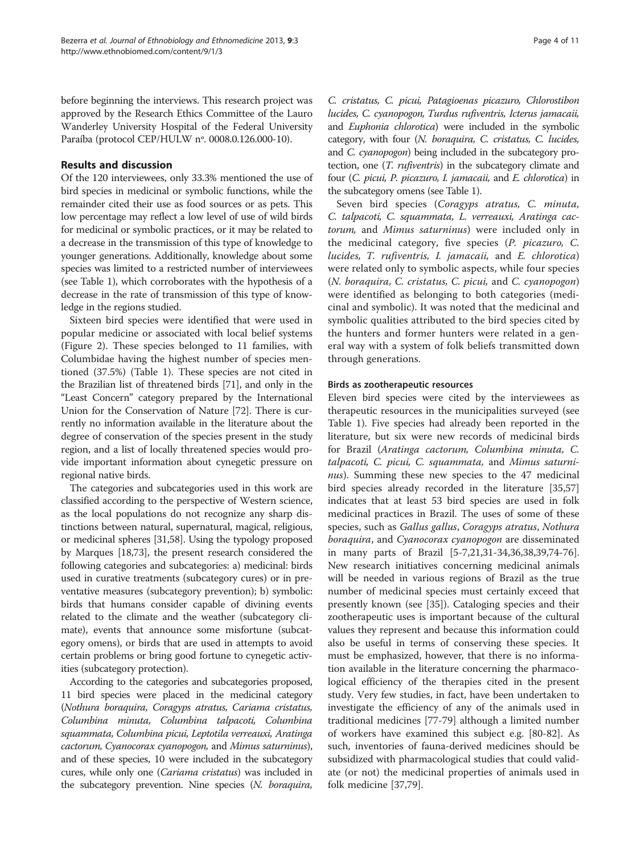before beginning the interviews. This research project was approved by the Research Ethics Committee of the Lauro Wanderley University Hospital of the Federal University Paraíba (protocol CEP/HULW nº. 0008.0.126.000-10).

# Results and discussion

Of the 120 interviewees, only 33.3% mentioned the use of bird species in medicinal or symbolic functions, while the remainder cited their use as food sources or as pets. This low percentage may reflect a low level of use of wild birds for medicinal or symbolic practices, or it may be related to a decrease in the transmission of this type of knowledge to younger generations. Additionally, knowledge about some species was limited to a restricted number of interviewees (see Table [1](#page-4-0)), which corroborates with the hypothesis of a decrease in the rate of transmission of this type of knowledge in the regions studied.

Sixteen bird species were identified that were used in popular medicine or associated with local belief systems (Figure [2\)](#page-6-0). These species belonged to 11 families, with Columbidae having the highest number of species mentioned (37.5%) (Table [1\)](#page-4-0). These species are not cited in the Brazilian list of threatened birds [[71](#page-10-0)], and only in the "Least Concern" category prepared by the International Union for the Conservation of Nature [[72\]](#page-10-0). There is currently no information available in the literature about the degree of conservation of the species present in the study region, and a list of locally threatened species would provide important information about cynegetic pressure on regional native birds.

The categories and subcategories used in this work are classified according to the perspective of Western science, as the local populations do not recognize any sharp distinctions between natural, supernatural, magical, religious, or medicinal spheres [[31](#page-9-0)[,58](#page-10-0)]. Using the typology proposed by Marques [\[18](#page-9-0)[,73\]](#page-10-0), the present research considered the following categories and subcategories: a) medicinal: birds used in curative treatments (subcategory cures) or in preventative measures (subcategory prevention); b) symbolic: birds that humans consider capable of divining events related to the climate and the weather (subcategory climate), events that announce some misfortune (subcategory omens), or birds that are used in attempts to avoid certain problems or bring good fortune to cynegetic activities (subcategory protection).

According to the categories and subcategories proposed, 11 bird species were placed in the medicinal category (Nothura boraquira, Coragyps atratus, Cariama cristatus, Columbina minuta, Columbina talpacoti, Columbina squammata, Columbina picui, Leptotila verreauxi, Aratinga cactorum, Cyanocorax cyanopogon, and Mimus saturninus), and of these species, 10 were included in the subcategory cures, while only one (Cariama cristatus) was included in the subcategory prevention. Nine species (N. boraquira,

C. cristatus, C. picui, Patagioenas picazuro, Chlorostibon lucides, C. cyanopogon, Turdus rufiventris, Icterus jamacaii, and Euphonia chlorotica) were included in the symbolic category, with four (N. boraquira, C. cristatus, C. lucides, and C. cyanopogon) being included in the subcategory protection, one (T. rufiventris) in the subcategory climate and four (C. picui, P. picazuro, I. jamacaii, and E. chlorotica) in the subcategory omens (see Table [1\)](#page-4-0).

Seven bird species (Coragyps atratus, C. minuta, C. talpacoti, C. squammata, L. verreauxi, Aratinga cactorum, and Mimus saturninus) were included only in the medicinal category, five species (P. picazuro, C. lucides, T. rufiventris, I. jamacaii, and E. chlorotica) were related only to symbolic aspects, while four species (N. boraquira, C. cristatus, C. picui, and C. cyanopogon) were identified as belonging to both categories (medicinal and symbolic). It was noted that the medicinal and symbolic qualities attributed to the bird species cited by the hunters and former hunters were related in a general way with a system of folk beliefs transmitted down through generations.

# Birds as zootherapeutic resources

Eleven bird species were cited by the interviewees as therapeutic resources in the municipalities surveyed (see Table [1\)](#page-4-0). Five species had already been reported in the literature, but six were new records of medicinal birds for Brazil (Aratinga cactorum, Columbina minuta, C. talpacoti, C. picui, C. squammata, and Mimus saturninus). Summing these new species to the 47 medicinal bird species already recorded in the literature [[35](#page-9-0),[57](#page-10-0)] indicates that at least 53 bird species are used in folk medicinal practices in Brazil. The uses of some of these species, such as Gallus gallus, Coragyps atratus, Nothura boraquira, and Cyanocorax cyanopogon are disseminated in many parts of Brazil [\[5](#page-8-0)-[7,21,31-34,36,38,39,](#page-9-0)[74-76](#page-10-0)]. New research initiatives concerning medicinal animals will be needed in various regions of Brazil as the true number of medicinal species must certainly exceed that presently known (see [\[35](#page-9-0)]). Cataloging species and their zootherapeutic uses is important because of the cultural values they represent and because this information could also be useful in terms of conserving these species. It must be emphasized, however, that there is no information available in the literature concerning the pharmacological efficiency of the therapies cited in the present study. Very few studies, in fact, have been undertaken to investigate the efficiency of any of the animals used in traditional medicines [[77-79\]](#page-10-0) although a limited number of workers have examined this subject e.g. [[80-82\]](#page-10-0). As such, inventories of fauna-derived medicines should be subsidized with pharmacological studies that could validate (or not) the medicinal properties of animals used in folk medicine [\[37](#page-9-0)[,79](#page-10-0)].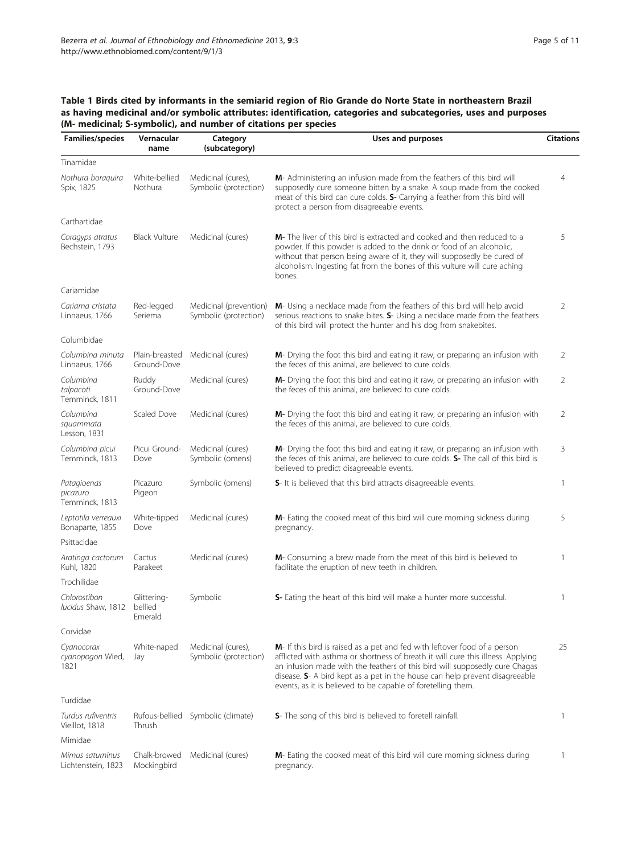# <span id="page-4-0"></span>Table 1 Birds cited by informants in the semiarid region of Rio Grande do Norte State in northeastern Brazil as having medicinal and/or symbolic attributes: identification, categories and subcategories, uses and purposes (M- medicinal; S-symbolic), and number of citations per species

| <b>Families/species</b>                         | Vernacular<br>name                | Category<br>(subcategory)                       | Uses and purposes                                                                                                                                                                                                                                                                                                                                                                           | <b>Citations</b> |
|-------------------------------------------------|-----------------------------------|-------------------------------------------------|---------------------------------------------------------------------------------------------------------------------------------------------------------------------------------------------------------------------------------------------------------------------------------------------------------------------------------------------------------------------------------------------|------------------|
| Tinamidae                                       |                                   |                                                 |                                                                                                                                                                                                                                                                                                                                                                                             |                  |
| Nothura boraquira<br>Spix, 1825                 | White-bellied<br>Nothura          | Medicinal (cures),<br>Symbolic (protection)     | M- Administering an infusion made from the feathers of this bird will<br>supposedly cure someone bitten by a snake. A soup made from the cooked<br>meat of this bird can cure colds. S- Carrying a feather from this bird will<br>protect a person from disagreeable events.                                                                                                                | 4                |
| Carthartidae                                    |                                   |                                                 |                                                                                                                                                                                                                                                                                                                                                                                             |                  |
| Coragyps atratus<br>Bechstein, 1793             | <b>Black Vulture</b>              | Medicinal (cures)                               | <b>M-</b> The liver of this bird is extracted and cooked and then reduced to a<br>powder. If this powder is added to the drink or food of an alcoholic,<br>without that person being aware of it, they will supposedly be cured of<br>alcoholism. Ingesting fat from the bones of this vulture will cure aching<br>bones.                                                                   | 5                |
| Cariamidae                                      |                                   |                                                 |                                                                                                                                                                                                                                                                                                                                                                                             |                  |
| Cariama cristata<br>Linnaeus, 1766              | Red-legged<br>Seriema             | Medicinal (prevention)<br>Symbolic (protection) | M- Using a necklace made from the feathers of this bird will help avoid<br>serious reactions to snake bites. S- Using a necklace made from the feathers<br>of this bird will protect the hunter and his dog from snakebites.                                                                                                                                                                | 2                |
| Columbidae                                      |                                   |                                                 |                                                                                                                                                                                                                                                                                                                                                                                             |                  |
| Columbina minuta<br>Linnaeus, 1766              | Plain-breasted<br>Ground-Dove     | Medicinal (cures)                               | <b>M</b> - Drying the foot this bird and eating it raw, or preparing an infusion with<br>the feces of this animal, are believed to cure colds.                                                                                                                                                                                                                                              | 2                |
| Columbina<br>talpacoti<br>Temminck, 1811        | Ruddy<br>Ground-Dove              | Medicinal (cures)                               | M- Drying the foot this bird and eating it raw, or preparing an infusion with<br>the feces of this animal, are believed to cure colds.                                                                                                                                                                                                                                                      | 2                |
| Columbina<br>squammata<br>Lesson, 1831          | Scaled Dove                       | Medicinal (cures)                               | M- Drying the foot this bird and eating it raw, or preparing an infusion with<br>the feces of this animal, are believed to cure colds.                                                                                                                                                                                                                                                      | 2                |
| Columbina picui<br>Temminck, 1813               | Picui Ground-<br>Dove             | Medicinal (cures)<br>Symbolic (omens)           | M- Drying the foot this bird and eating it raw, or preparing an infusion with<br>the feces of this animal, are believed to cure colds. S- The call of this bird is<br>believed to predict disagreeable events.                                                                                                                                                                              | 3                |
| Patagioenas<br>picazuro<br>Temminck, 1813       | Picazuro<br>Pigeon                | Symbolic (omens)                                | S- It is believed that this bird attracts disagreeable events.                                                                                                                                                                                                                                                                                                                              | 1                |
| Leptotila verreauxi<br>Bonaparte, 1855          | White-tipped<br>Dove              | Medicinal (cures)                               | M- Eating the cooked meat of this bird will cure morning sickness during<br>pregnancy.                                                                                                                                                                                                                                                                                                      | 5                |
| Psittacidae                                     |                                   |                                                 |                                                                                                                                                                                                                                                                                                                                                                                             |                  |
| Aratinga cactorum<br>Kuhl, 1820                 | Cactus<br>Parakeet                | Medicinal (cures)                               | M- Consuming a brew made from the meat of this bird is believed to<br>facilitate the eruption of new teeth in children.                                                                                                                                                                                                                                                                     | 1                |
| Trochilidae                                     |                                   |                                                 |                                                                                                                                                                                                                                                                                                                                                                                             |                  |
| Chlorostibon<br>lucidus Shaw, 1812              | Glittering-<br>bellied<br>Emerald | Symbolic                                        | S- Eating the heart of this bird will make a hunter more successful.                                                                                                                                                                                                                                                                                                                        | 1                |
| Corvidae                                        |                                   |                                                 |                                                                                                                                                                                                                                                                                                                                                                                             |                  |
| Cyanocorax<br>cyanopogon Wied,<br>1821          | White-naped<br>Jay                | Medicinal (cures),<br>Symbolic (protection)     | M- If this bird is raised as a pet and fed with leftover food of a person<br>afflicted with asthma or shortness of breath it will cure this illness. Applying<br>an infusion made with the feathers of this bird will supposedly cure Chagas<br>disease. S- A bird kept as a pet in the house can help prevent disagreeable<br>events, as it is believed to be capable of foretelling them. | 25               |
| Turdidae                                        |                                   |                                                 |                                                                                                                                                                                                                                                                                                                                                                                             |                  |
| Turdus rufiventris<br>Vieillot, 1818<br>Mimidae | Thrush                            | Rufous-bellied Symbolic (climate)               | S- The song of this bird is believed to foretell rainfall.                                                                                                                                                                                                                                                                                                                                  | 1                |
| Mimus saturninus<br>Lichtenstein, 1823          | Chalk-browed<br>Mockingbird       | Medicinal (cures)                               | M- Eating the cooked meat of this bird will cure morning sickness during<br>pregnancy.                                                                                                                                                                                                                                                                                                      | 1                |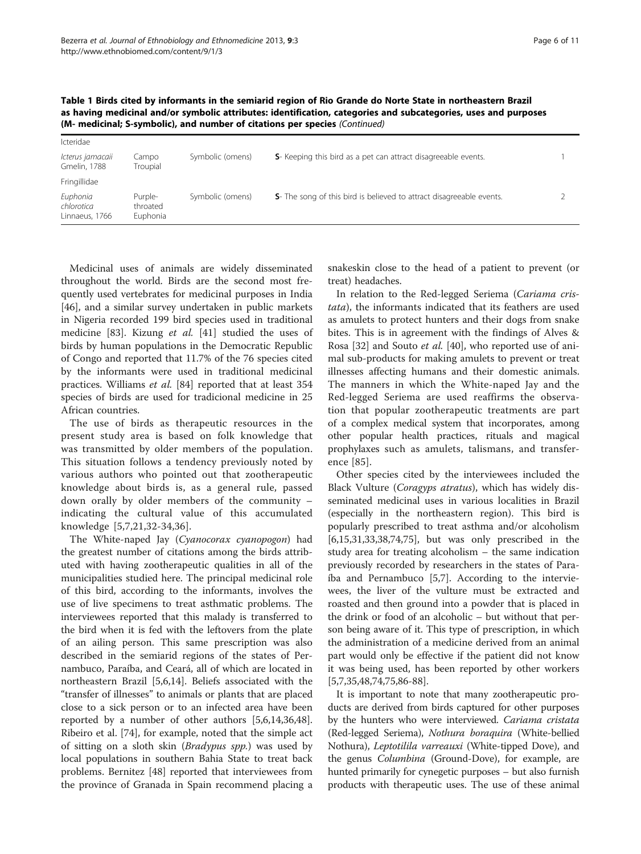| Table 1 Birds cited by informants in the semiarid region of Rio Grande do Norte State in northeastern Brazil    |
|-----------------------------------------------------------------------------------------------------------------|
| as having medicinal and/or symbolic attributes: identification, categories and subcategories, uses and purposes |
| (M- medicinal: S-symbolic), and number of citations per species (Continued)                                     |

| Icteridae                                |                                 |                  |                                                                      |  |  |  |  |
|------------------------------------------|---------------------------------|------------------|----------------------------------------------------------------------|--|--|--|--|
| Icterus jamacaii<br>Gmelin, 1788         | Campo<br>Troupial               | Symbolic (omens) | S- Keeping this bird as a pet can attract disagreeable events.       |  |  |  |  |
| Fringillidae                             |                                 |                  |                                                                      |  |  |  |  |
| Euphonia<br>chlorotica<br>Linnaeus, 1766 | Purple-<br>throated<br>Euphonia | Symbolic (omens) | S- The song of this bird is believed to attract disagreeable events. |  |  |  |  |

Medicinal uses of animals are widely disseminated throughout the world. Birds are the second most frequently used vertebrates for medicinal purposes in India [[46\]](#page-9-0), and a similar survey undertaken in public markets in Nigeria recorded 199 bird species used in traditional medicine [\[83](#page-10-0)]. Kizung et al. [\[41](#page-9-0)] studied the uses of birds by human populations in the Democratic Republic of Congo and reported that 11.7% of the 76 species cited by the informants were used in traditional medicinal practices. Williams et al. [\[84\]](#page-10-0) reported that at least 354 species of birds are used for tradicional medicine in 25 African countries.

The use of birds as therapeutic resources in the present study area is based on folk knowledge that was transmitted by older members of the population. This situation follows a tendency previously noted by various authors who pointed out that zootherapeutic knowledge about birds is, as a general rule, passed down orally by older members of the community – indicating the cultural value of this accumulated knowledge [[5,](#page-8-0)[7](#page-9-0),[21,32](#page-9-0)-[34,36](#page-9-0)].

The White-naped Jay (Cyanocorax cyanopogon) had the greatest number of citations among the birds attributed with having zootherapeutic qualities in all of the municipalities studied here. The principal medicinal role of this bird, according to the informants, involves the use of live specimens to treat asthmatic problems. The interviewees reported that this malady is transferred to the bird when it is fed with the leftovers from the plate of an ailing person. This same prescription was also described in the semiarid regions of the states of Pernambuco, Paraíba, and Ceará, all of which are located in northeastern Brazil [\[5](#page-8-0)[,6](#page-9-0),[14](#page-9-0)]. Beliefs associated with the "transfer of illnesses" to animals or plants that are placed close to a sick person or to an infected area have been reported by a number of other authors [\[5](#page-8-0)[,6,14,36,48](#page-9-0)]. Ribeiro et al. [\[74\]](#page-10-0), for example, noted that the simple act of sitting on a sloth skin (Bradypus spp.) was used by local populations in southern Bahia State to treat back problems. Bernitez [\[48](#page-9-0)] reported that interviewees from the province of Granada in Spain recommend placing a snakeskin close to the head of a patient to prevent (or treat) headaches.

In relation to the Red-legged Seriema (Cariama cristata), the informants indicated that its feathers are used as amulets to protect hunters and their dogs from snake bites. This is in agreement with the findings of Alves & Rosa [\[32](#page-9-0)] and Souto *et al.* [\[40](#page-9-0)], who reported use of animal sub-products for making amulets to prevent or treat illnesses affecting humans and their domestic animals. The manners in which the White-naped Jay and the Red-legged Seriema are used reaffirms the observation that popular zootherapeutic treatments are part of a complex medical system that incorporates, among other popular health practices, rituals and magical prophylaxes such as amulets, talismans, and transference [[85](#page-10-0)].

Other species cited by the interviewees included the Black Vulture (Coragyps atratus), which has widely disseminated medicinal uses in various localities in Brazil (especially in the northeastern region). This bird is popularly prescribed to treat asthma and/or alcoholism [[6,15,31,33,38,](#page-9-0)[74,75\]](#page-10-0), but was only prescribed in the study area for treating alcoholism – the same indication previously recorded by researchers in the states of Paraíba and Pernambuco [\[5](#page-8-0)[,7](#page-9-0)]. According to the interviewees, the liver of the vulture must be extracted and roasted and then ground into a powder that is placed in the drink or food of an alcoholic – but without that person being aware of it. This type of prescription, in which the administration of a medicine derived from an animal part would only be effective if the patient did not know it was being used, has been reported by other workers [[5,](#page-8-0)[7,35,48,](#page-9-0)[74,75,86-88](#page-10-0)].

It is important to note that many zootherapeutic products are derived from birds captured for other purposes by the hunters who were interviewed. Cariama cristata (Red-legged Seriema), Nothura boraquira (White-bellied Nothura), Leptotilila varreauxi (White-tipped Dove), and the genus *Columbina* (Ground-Dove), for example, are hunted primarily for cynegetic purposes – but also furnish products with therapeutic uses. The use of these animal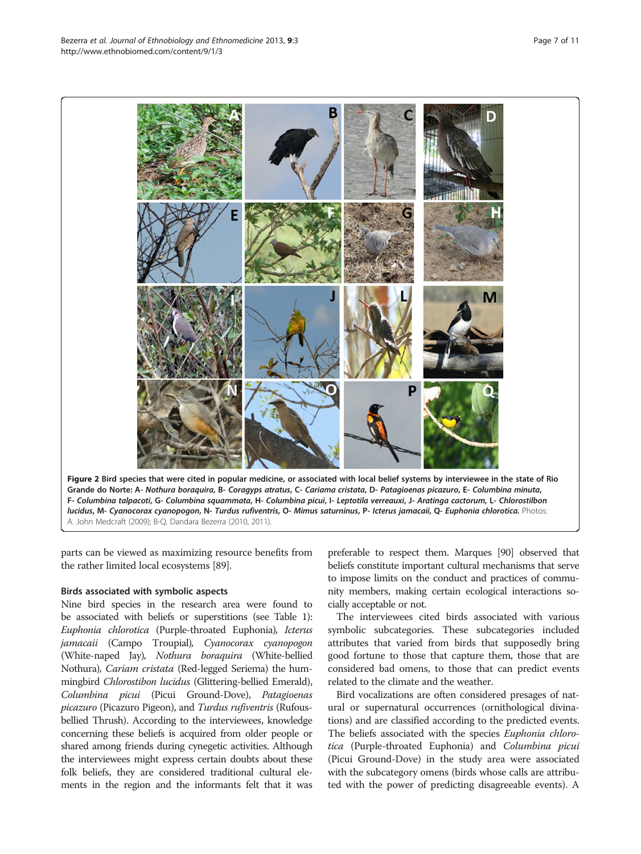<span id="page-6-0"></span>

A. John Medcraft (2009); B-Q. Dandara Bezerra (2010, 2011).

parts can be viewed as maximizing resource benefits from the rather limited local ecosystems [[89](#page-10-0)].

#### Birds associated with symbolic aspects

Nine bird species in the research area were found to be associated with beliefs or superstitions (see Table [1](#page-4-0)): Euphonia chlorotica (Purple-throated Euphonia), Icterus jamacaii (Campo Troupial), Cyanocorax cyanopogon (White-naped Jay), Nothura boraquira (White-bellied Nothura), Cariam cristata (Red-legged Seriema) the hummingbird Chlorostibon lucidus (Glittering-bellied Emerald), Columbina picui (Picui Ground-Dove), Patagioenas picazuro (Picazuro Pigeon), and Turdus rufiventris (Rufousbellied Thrush). According to the interviewees, knowledge concerning these beliefs is acquired from older people or shared among friends during cynegetic activities. Although the interviewees might express certain doubts about these folk beliefs, they are considered traditional cultural elements in the region and the informants felt that it was preferable to respect them. Marques [\[90\]](#page-10-0) observed that beliefs constitute important cultural mechanisms that serve to impose limits on the conduct and practices of community members, making certain ecological interactions socially acceptable or not.

The interviewees cited birds associated with various symbolic subcategories. These subcategories included attributes that varied from birds that supposedly bring good fortune to those that capture them, those that are considered bad omens, to those that can predict events related to the climate and the weather.

Bird vocalizations are often considered presages of natural or supernatural occurrences (ornithological divinations) and are classified according to the predicted events. The beliefs associated with the species *Euphonia chloro*tica (Purple-throated Euphonia) and Columbina picui (Picui Ground-Dove) in the study area were associated with the subcategory omens (birds whose calls are attributed with the power of predicting disagreeable events). A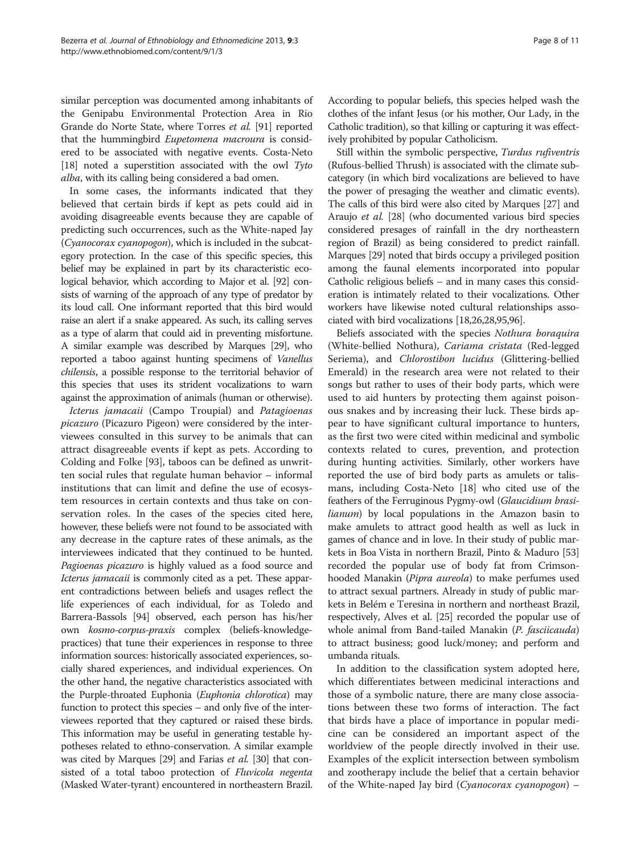similar perception was documented among inhabitants of the Genipabu Environmental Protection Area in Rio Grande do Norte State, where Torres et al. [\[91\]](#page-10-0) reported that the hummingbird Eupetomena macroura is considered to be associated with negative events. Costa-Neto [[18](#page-9-0)] noted a superstition associated with the owl  $Ty$ to alba, with its calling being considered a bad omen.

In some cases, the informants indicated that they believed that certain birds if kept as pets could aid in avoiding disagreeable events because they are capable of predicting such occurrences, such as the White-naped Jay (Cyanocorax cyanopogon), which is included in the subcategory protection. In the case of this specific species, this belief may be explained in part by its characteristic ecological behavior, which according to Major et al. [[92](#page-10-0)] consists of warning of the approach of any type of predator by its loud call. One informant reported that this bird would raise an alert if a snake appeared. As such, its calling serves as a type of alarm that could aid in preventing misfortune. A similar example was described by Marques [\[29\]](#page-9-0), who reported a taboo against hunting specimens of Vanellus chilensis, a possible response to the territorial behavior of this species that uses its strident vocalizations to warn against the approximation of animals (human or otherwise).

Icterus jamacaii (Campo Troupial) and Patagioenas picazuro (Picazuro Pigeon) were considered by the interviewees consulted in this survey to be animals that can attract disagreeable events if kept as pets. According to Colding and Folke [\[93](#page-10-0)], taboos can be defined as unwritten social rules that regulate human behavior – informal institutions that can limit and define the use of ecosystem resources in certain contexts and thus take on conservation roles. In the cases of the species cited here, however, these beliefs were not found to be associated with any decrease in the capture rates of these animals, as the interviewees indicated that they continued to be hunted. Pagioenas picazuro is highly valued as a food source and Icterus jamacaii is commonly cited as a pet. These apparent contradictions between beliefs and usages reflect the life experiences of each individual, for as Toledo and Barrera-Bassols [\[94](#page-10-0)] observed, each person has his/her own kosmo-corpus-praxis complex (beliefs-knowledgepractices) that tune their experiences in response to three information sources: historically associated experiences, socially shared experiences, and individual experiences. On the other hand, the negative characteristics associated with the Purple-throated Euphonia (Euphonia chlorotica) may function to protect this species – and only five of the interviewees reported that they captured or raised these birds. This information may be useful in generating testable hypotheses related to ethno-conservation. A similar example was cited by Marques [\[29](#page-9-0)] and Farias *et al.* [[30](#page-9-0)] that consisted of a total taboo protection of *Fluvicola negenta* (Masked Water-tyrant) encountered in northeastern Brazil. According to popular beliefs, this species helped wash the clothes of the infant Jesus (or his mother, Our Lady, in the Catholic tradition), so that killing or capturing it was effectively prohibited by popular Catholicism.

Still within the symbolic perspective, Turdus rufiventris (Rufous-bellied Thrush) is associated with the climate subcategory (in which bird vocalizations are believed to have the power of presaging the weather and climatic events). The calls of this bird were also cited by Marques [\[27\]](#page-9-0) and Araujo et al. [[28](#page-9-0)] (who documented various bird species considered presages of rainfall in the dry northeastern region of Brazil) as being considered to predict rainfall. Marques [[29](#page-9-0)] noted that birds occupy a privileged position among the faunal elements incorporated into popular Catholic religious beliefs – and in many cases this consideration is intimately related to their vocalizations. Other workers have likewise noted cultural relationships associated with bird vocalizations [[18,26,28,](#page-9-0)[95,96\]](#page-10-0).

Beliefs associated with the species Nothura boraquira (White-bellied Nothura), Cariama cristata (Red-legged Seriema), and *Chlorostibon lucidus* (Glittering-bellied Emerald) in the research area were not related to their songs but rather to uses of their body parts, which were used to aid hunters by protecting them against poisonous snakes and by increasing their luck. These birds appear to have significant cultural importance to hunters, as the first two were cited within medicinal and symbolic contexts related to cures, prevention, and protection during hunting activities. Similarly, other workers have reported the use of bird body parts as amulets or talismans, including Costa-Neto [\[18\]](#page-9-0) who cited use of the feathers of the Ferruginous Pygmy-owl (Glaucidium brasi*lianum*) by local populations in the Amazon basin to make amulets to attract good health as well as luck in games of chance and in love. In their study of public markets in Boa Vista in northern Brazil, Pinto & Maduro [[53](#page-9-0)] recorded the popular use of body fat from Crimsonhooded Manakin (Pipra aureola) to make perfumes used to attract sexual partners. Already in study of public markets in Belém e Teresina in northern and northeast Brazil, respectively, Alves et al. [\[25\]](#page-9-0) recorded the popular use of whole animal from Band-tailed Manakin (P. fasciicauda) to attract business; good luck/money; and perform and umbanda rituals.

In addition to the classification system adopted here, which differentiates between medicinal interactions and those of a symbolic nature, there are many close associations between these two forms of interaction. The fact that birds have a place of importance in popular medicine can be considered an important aspect of the worldview of the people directly involved in their use. Examples of the explicit intersection between symbolism and zootherapy include the belief that a certain behavior of the White-naped Jay bird (Cyanocorax cyanopogon) –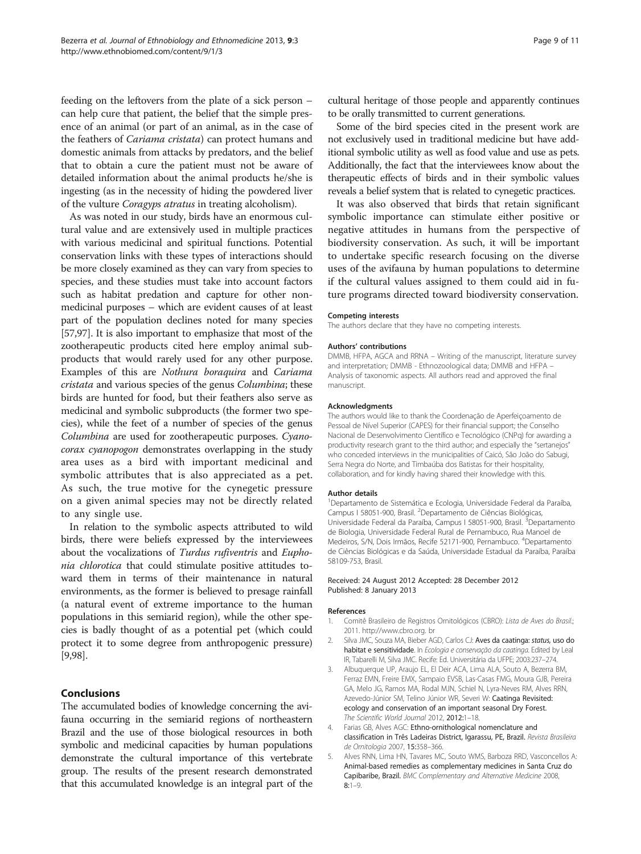<span id="page-8-0"></span>feeding on the leftovers from the plate of a sick person – can help cure that patient, the belief that the simple presence of an animal (or part of an animal, as in the case of the feathers of Cariama cristata) can protect humans and domestic animals from attacks by predators, and the belief that to obtain a cure the patient must not be aware of detailed information about the animal products he/she is ingesting (as in the necessity of hiding the powdered liver of the vulture Coragyps atratus in treating alcoholism).

As was noted in our study, birds have an enormous cultural value and are extensively used in multiple practices with various medicinal and spiritual functions. Potential conservation links with these types of interactions should be more closely examined as they can vary from species to species, and these studies must take into account factors such as habitat predation and capture for other nonmedicinal purposes – which are evident causes of at least part of the population declines noted for many species [[57,97](#page-10-0)]. It is also important to emphasize that most of the zootherapeutic products cited here employ animal subproducts that would rarely used for any other purpose. Examples of this are Nothura boraquira and Cariama cristata and various species of the genus Columbina; these birds are hunted for food, but their feathers also serve as medicinal and symbolic subproducts (the former two species), while the feet of a number of species of the genus Columbina are used for zootherapeutic purposes. Cyanocorax cyanopogon demonstrates overlapping in the study area uses as a bird with important medicinal and symbolic attributes that is also appreciated as a pet. As such, the true motive for the cynegetic pressure on a given animal species may not be directly related to any single use.

In relation to the symbolic aspects attributed to wild birds, there were beliefs expressed by the interviewees about the vocalizations of Turdus rufiventris and Euphonia chlorotica that could stimulate positive attitudes toward them in terms of their maintenance in natural environments, as the former is believed to presage rainfall (a natural event of extreme importance to the human populations in this semiarid region), while the other species is badly thought of as a potential pet (which could protect it to some degree from anthropogenic pressure) [[9,](#page-9-0)[98](#page-10-0)].

# Conclusions

The accumulated bodies of knowledge concerning the avifauna occurring in the semiarid regions of northeastern Brazil and the use of those biological resources in both symbolic and medicinal capacities by human populations demonstrate the cultural importance of this vertebrate group. The results of the present research demonstrated that this accumulated knowledge is an integral part of the

cultural heritage of those people and apparently continues to be orally transmitted to current generations.

Some of the bird species cited in the present work are not exclusively used in traditional medicine but have additional symbolic utility as well as food value and use as pets. Additionally, the fact that the interviewees know about the therapeutic effects of birds and in their symbolic values reveals a belief system that is related to cynegetic practices.

It was also observed that birds that retain significant symbolic importance can stimulate either positive or negative attitudes in humans from the perspective of biodiversity conservation. As such, it will be important to undertake specific research focusing on the diverse uses of the avifauna by human populations to determine if the cultural values assigned to them could aid in future programs directed toward biodiversity conservation.

#### Competing interests

The authors declare that they have no competing interests.

#### Authors' contributions

DMMB, HFPA, AGCA and RRNA – Writing of the manuscript, literature survey and interpretation; DMMB - Ethnozoological data; DMMB and HFPA – Analysis of taxonomic aspects. All authors read and approved the final manuscript.

#### Acknowledgments

The authors would like to thank the Coordenação de Aperfeiçoamento de Pessoal de Nível Superior (CAPES) for their financial support; the Conselho Nacional de Desenvolvimento Científico e Tecnológico (CNPq) for awarding a productivity research grant to the third author; and especially the "sertanejos" who conceded interviews in the municipalities of Caicó, São João do Sabugi, Serra Negra do Norte, and Timbaúba dos Batistas for their hospitality, collaboration, and for kindly having shared their knowledge with this.

#### Author details

1 Departamento de Sistemática e Ecologia, Universidade Federal da Paraíba, Campus I 58051-900, Brasil. <sup>2</sup> Departamento de Ciências Biológicas, Universidade Federal da Paraíba, Campus I 58051-900, Brasil. <sup>3</sup>Departamento de Biologia, Universidade Federal Rural de Pernambuco, Rua Manoel de Medeiros, S/N, Dois Irmãos, Recife 52171-900, Pernambuco. <sup>4</sup>Departamento de Ciências Biológicas e da Saúda, Universidade Estadual da Paraíba, Paraíba 58109-753, Brasil.

#### Received: 24 August 2012 Accepted: 28 December 2012 Published: 8 January 2013

#### References

- 1. Comitê Brasileiro de Registros Ornitológicos (CBRO): Lista de Aves do Brasil.; 2011. http://www.cbro.org. br
- 2. Silva JMC, Souza MA, Bieber AGD, Carlos CJ: Aves da caatinga: status, uso do habitat e sensitividade. In Ecologia e conservação da caatinga. Edited by Leal IR, Tabarelli M, Silva JMC. Recife: Ed. Universitária da UFPE; 2003:237–274.
- 3. Albuquerque UP, Araujo EL, El Deir ACA, Lima ALA, Souto A, Bezerra BM, Ferraz EMN, Freire EMX, Sampaio EVSB, Las-Casas FMG, Moura GJB, Pereira GA, Melo JG, Ramos MA, Rodal MJN, Schiel N, Lyra-Neves RM, Alves RRN, Azevedo-Júnior SM, Telino Júnior WR, Severi W: Caatinga Revisited: ecology and conservation of an important seasonal Dry Forest. The Scientific World Journal 2012, 2012:1–18.
- 4. Farias GB, Alves AGC: Ethno-ornithological nomenclature and classification in Três Ladeiras District, Igarassu, PE, Brazil. Revista Brasileira de Ornitologia 2007, 15:358–366.
- 5. Alves RNN, Lima HN, Tavares MC, Souto WMS, Barboza RRD, Vasconcellos A: Animal-based remedies as complementary medicines in Santa Cruz do Capibaribe, Brazil. BMC Complementary and Alternative Medicine 2008, 8:1–9.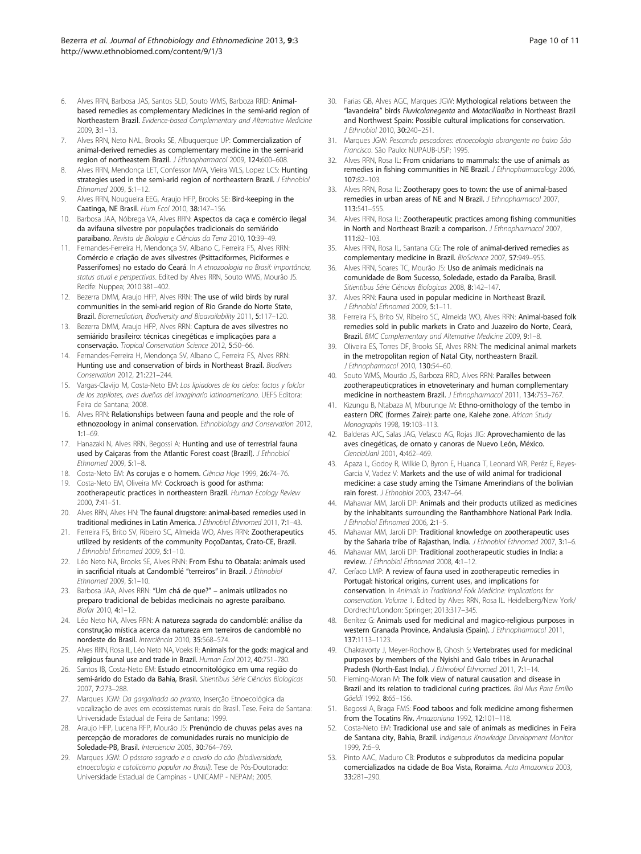- <span id="page-9-0"></span>6. Alves RRN, Barbosa JAS, Santos SLD, Souto WMS, Barboza RRD: Animalbased remedies as complementary Medicines in the semi-arid region of Northeastern Brazil. Evidence-based Complementary and Alternative Medicine 2009, 3:1–13.
- 7. Alves RRN, Neto NAL, Brooks SE, Albuquerque UP: Commercialization of animal-derived remedies as complementary medicine in the semi-arid region of northeastern Brazil. J Ethnopharmacol 2009, 124:600–608.
- Alves RRN, Mendonça LET, Confessor MVA, Vieira WLS, Lopez LCS: Hunting strategies used in the semi-arid region of northeastern Brazil. J Ethnobiol Ethnomed 2009, 5:1–12.
- Alves RRN, Nougueira EEG, Araujo HFP, Brooks SE: Bird-keeping in the Caatinga, NE Brasil. Hum Ecol 2010, 38:147–156.
- 10. Barbosa JAA, Nóbrega VA, Alves RRN: Aspectos da caça e comércio ilegal da avifauna silvestre por populações tradicionais do semiárido paraibano. Revista de Biologia e Ciências da Terra 2010, 10:39–49.
- 11. Fernandes-Ferreira H, Mendonça SV, Albano C, Ferreira FS, Alves RRN: Comércio e criação de aves silvestres (Psittaciformes, Piciformes e Passerifomes) no estado do Ceará. In A etnozoologia no Brasil: importância, status atual e perspectivas. Edited by Alves RRN, Souto WMS, Mourão JS. Recife: Nuppea; 2010:381–402.
- 12. Bezerra DMM, Araujo HFP, Alves RRN: The use of wild birds by rural communities in the semi-arid region of Rio Grande do Norte State, Brazil. Bioremediation, Biodiversity and Bioavailability 2011, 5:117–120.
- 13. Bezerra DMM, Araujo HFP, Alves RRN: Captura de aves silvestres no semiárido brasileiro: técnicas cinegéticas e implicações para a conservação. Tropical Conservation Science 2012, 5:50–66.
- 14. Fernandes-Ferreira H, Mendonça SV, Albano C, Ferreira FS, Alves RRN: Hunting use and conservation of birds in Northeast Brazil. Biodivers Conservation 2012, 21:221–244.
- 15. Vargas-Clavijo M, Costa-Neto EM: Los lipiadores de los cielos: factos y folclor de los zopilotes, aves dueñas del imaginario latinoamericano. UEFS Editora: Feira de Santana; 2008.
- 16. Alves RRN: Relationships between fauna and people and the role of ethnozoology in animal conservation. Ethnobiology and Conservation 2012,  $1:1-69$
- 17. Hanazaki N, Alves RRN, Begossi A: Hunting and use of terrestrial fauna used by Caiçaras from the Atlantic Forest coast (Brazil). J Ethnobiol Ethnomed 2009, 5:1–8.
- 18. Costa-Neto EM: As corujas e o homem. Ciência Hoje 1999, 26:74-76.
- 19. Costa-Neto EM, Oliveira MV: Cockroach is good for asthma: zootherapeutic practices in northeastern Brazil. Human Ecology Review 2000, 7:41–51.
- 20. Alves RRN, Alves HN: The faunal drugstore: animal-based remedies used in traditional medicines in Latin America. J Ethnobiol Ethnomed 2011, 7:1–43.
- 21. Ferreira FS, Brito SV, Ribeiro SC, Almeida WO, Alves RRN: Zootherapeutics utilized by residents of the community PoçoDantas, Crato-CE, Brazil. J Ethnobiol Ethnomed 2009, 5:1–10.
- 22. Léo Neto NA, Brooks SE, Alves RNN: From Eshu to Obatala: animals used in sacrificial rituals at Candomblé "terreiros" in Brazil. J Ethnobiol Ethnomed 2009, 5:1–10.
- 23. Barbosa JAA, Alves RRN: "Um chá de que?" animais utilizados no preparo tradicional de bebidas medicinais no agreste paraibano. Biofar 2010, 4:1–12.
- 24. Léo Neto NA, Alves RRN: A natureza sagrada do candomblé: análise da construção mística acerca da natureza em terreiros de candomblé no nordeste do Brasil. Interciência 2010, 35:568–574.
- 25. Alves RRN, Rosa IL, Léo Neto NA, Voeks R: Animals for the gods: magical and religious faunal use and trade in Brazil. Human Ecol 2012, 40:751–780.
- 26. Santos IB, Costa-Neto EM: Estudo etnoornitológico em uma região do semi-árido do Estado da Bahia, Brasil. Sitientibus Série Ciências Biologicas 2007, 7:273–288.
- 27. Marques JGW: Da gargalhada ao pranto, Inserção Etnoecológica da vocalização de aves em ecossistemas rurais do Brasil. Tese. Feira de Santana: Universidade Estadual de Feira de Santana; 1999.
- 28. Araujo HFP, Lucena RFP, Mourão JS: Prenúncio de chuvas pelas aves na percepção de moradores de comunidades rurais no município de Soledade-PB, Brasil. Interciencia 2005, 30:764–769.
- 29. Marques JGW: O pássaro sagrado e o cavalo do cão (biodiversidade, etnoecologia e catolicismo popular no Brasil). Tese de Pós-Doutorado: Universidade Estadual de Campinas - UNICAMP - NEPAM; 2005.
- 30. Farias GB, Alves AGC, Marques JGW: Mythological relations between the "lavandeira" birds Fluvicolanegenta and Motacillaalba in Northeast Brazil and Northwest Spain: Possible cultural implications for conservation. J Ethnobiol 2010, 30:240–251.
- 31. Marques JGW: Pescando pescadores: etnoecologia abrangente no baixo São Francisco. São Paulo: NUPAUB-USP; 1995.
- 32. Alves RRN, Rosa IL: From cnidarians to mammals: the use of animals as remedies in fishing communities in NE Brazil. J Ethnopharmacology 2006, 107:82–103.
- 33. Alves RRN, Rosa IL: Zootherapy goes to town: the use of animal-based remedies in urban areas of NE and N Brazil. J Ethnopharmacol 2007, 113:541–555.
- 34. Alves RRN, Rosa IL: Zootherapeutic practices among fishing communities in North and Northeast Brazil: a comparison. J Ethnopharmacol 2007, 111:82–103.
- 35. Alves RRN, Rosa IL, Santana GG: The role of animal-derived remedies as complementary medicine in Brazil. BioScience 2007, 57:949–955.
- 36. Alves RRN, Soares TC, Mourão JS: Uso de animais medicinais na comunidade de Bom Sucesso, Soledade, estado da Paraíba, Brasil. Sitientibus Série Ciências Biologicas 2008, 8:142–147.
- 37. Alves RRN: Fauna used in popular medicine in Northeast Brazil. J Ethnobiol Ethnomed 2009, 5:1–11.
- 38. Ferreira FS, Brito SV, Ribeiro SC, Almeida WO, Alves RRN: Animal-based folk remedies sold in public markets in Crato and Juazeiro do Norte, Ceará, Brazil. BMC Complementary and Alternative Medicine 2009, 9:1–8.
- 39. Oliveira ES, Torres DF, Brooks SE, Alves RRN: The medicinal animal markets in the metropolitan region of Natal City, northeastern Brazil. J Ethnopharmacol 2010, 130:54–60.
- 40. Souto WMS, Mourão JS, Barboza RRD, Alves RRN: Paralles between zootherapeuticpratices in etnoveterinary and human compllementary medicine in northeastern Brazil. J Ethnopharmacol 2011, 134:753–767.
- 41. Kizungu B, Ntabaza M, Mburunge M: Ethno-ornithology of the tembo in eastern DRC (formes Zaire): parte one, Kalehe zone. African Study Monographs 1998, 19:103–113.
- 42. Balderas AJC, Salas JAG, Velasco AG, Rojas JIG: Aprovechamiento de las aves cinegéticas, de ornato y canoras de Nuevo León, México. CienciaUanl 2001, 4:462–469.
- 43. Apaza L, Godoy R, Wilkie D, Byron E, Huanca T, Leonard WR, Peréz E, Reyes-Garcia V, Vadez V: Markets and the use of wild animal for tradicional medicine: a case study aming the Tsimane Amerindians of the bolivian rain forest. J Ethnobiol 2003, 23:47–64.
- 44. Mahawar MM, Jaroli DP: Animals and their products utilized as medicines by the inhabitants surrounding the Ranthambhore National Park India. J Ethnobiol Ethnomed 2006, 2:1–5.
- Mahawar MM, Jaroli DP: Traditional knowledge on zootherapeutic uses by the Saharia tribe of Rajasthan, India. J Ethnobiol Ethnomed 2007, 3:1-6.
- Mahawar MM, Jaroli DP: Traditional zootherapeutic studies in India: a review. J Ethnobiol Ethnomed 2008, 4:1–12.
- 47. Ceríaco LMP: A review of fauna used in zootherapeutic remedies in Portugal: historical origins, current uses, and implications for conservation. In Animals in Traditional Folk Medicine: Implications for conservation. Volume 1. Edited by Alves RRN, Rosa IL. Heidelberg/New York/ Dordrecht/London: Springer; 2013:317–345.
- 48. Benítez G: Animals used for medicinal and magico-religious purposes in western Granada Province, Andalusia (Spain). J Ethnopharmacol 2011, 137:1113–1123.
- 49. Chakravorty J, Meyer-Rochow B, Ghosh S: Vertebrates used for medicinal purposes by members of the Nyishi and Galo tribes in Arunachal Pradesh (North-East India). J Ethnobiol Ethnomed 2011, 7:1–14.
- 50. Fleming-Moran M: The folk view of natural causation and disease in Brazil and its relation to tradicional curing practices. Bol Mus Para Emílio Göeldi 1992, 8:65–156.
- 51. Begossi A, Braga FMS: Food taboos and folk medicine among fishermen from the Tocatins Riv. Amazoniana 1992, 12:101–118.
- Costa-Neto EM: Tradicional use and sale of animals as medicines in Feira de Santana city, Bahia, Brazil. Indigenous Knowledge Development Monitor 1999, 7:6–9.
- 53. Pinto AAC, Maduro CB: Produtos e subprodutos da medicina popular comercializados na cidade de Boa Vista, Roraima. Acta Amazonica 2003, 33:281–290.